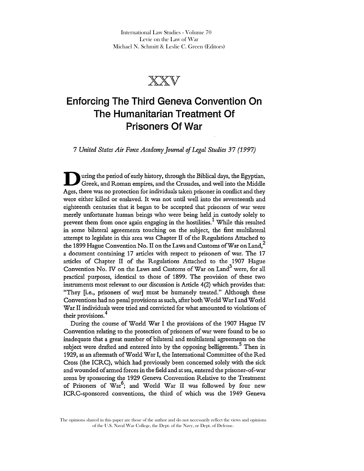International Law Studies - Volume 70 Levie on the Law of War Michael N. Schmitt & Leslie C. Green (Editors)



# **Enforcing The Third Geneva Convention On The Humanitarian Treatment Of Prisoners Of War**

*7 United States Air Force Academy Journal* of *Legal Studies* 37 (1997)

U uring the period of early history, through the Biblical days, the Egyptian, Greek, and Roman empires, and the Crusades, and well into the Middle Ages, there was no protection for individuals taken prisoner in conflict and they were either killed or enslaved. It was not until well into the seventeenth and eighteenth centuries that it began to be accepted that prisoners of war were merely unfortunate human beings who were being held in custody solely to prevent them from once again engaging in the hostilities.<sup>1</sup> While this resulted in some bilateral agreements touching on the subject, the first multilateral attempt to legislate in this area was Chapter II of the Regulations Attached to the 1899 Hague Convention No. II on the Laws and Customs of War on Land,<sup>2</sup> a document containing 17 articles with respect to prisoners of war. The 17 articles of Chapter II of the Regulations Attached to the 1907 Hague Convention No. IV on the Laws and Customs of War on Land<sup>3</sup> were, for all practical purposes, identical to those of 1899. The provision of these two instruments most relevant to our discussion is Article 4(2) which provides that: "They [i.e., prisoners of war] must be humanely treated." Although these Conventions had no penal provisions as such, after both World War I and World War II individuals were tried and convicted for what amounted to violations of their provisions.<sup>4</sup>

During the course of World War I the provisions of the 1907 Hague IV Convention relating to the protection of prisoners of war were found to be so inadequate that a great number of bilateral and multilateral agreements on the subject were drafted and entered into by the opposing belligerents.<sup>5</sup> Then in 1929, as an aftermath of World War I, the International Committee of the Red Cross (the ICRC), which had previously been concerned solely with the sick and wounded of armed forces in the field and at sea, entered the prisoner-of-war arena by sponsoring the 1929 Geneva Convention Relative to the Treatment of Prisoners of War<sup>6</sup>; and World War II was followed by four new ICRC-sponsored conventions, the third of which was the 1949 Geneva

The opinions shared in this paper are those of the author and do not necessarily reflect the views and opinions of the U.S. Naval War College, the Dept. of the Navy, or Dept. of Defense.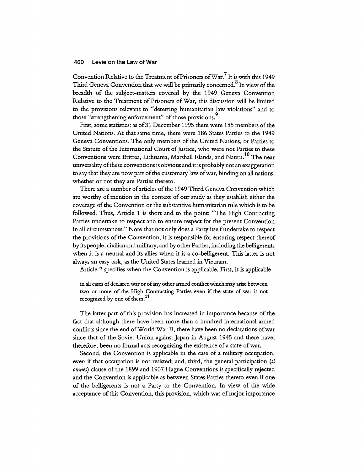Convention Relative to the Treatment of Prisoners of War.<sup>7</sup> It is with this 1949 Third Geneva Convention that we will be primarily concerned.<sup>8</sup> In view of the breadth of the subject-matters covered by the 1949 Geneva Convention Relative to the Treatment of Prisoners of War, this discussion will be limited to the provisions relevant to "deterring humanitarian law violations" and to those "strengthening enforcement" of those provisions."

First, some statistics: as of 31 December 1995 there were 185 members of the United Nations. At that same time, there were 186 States Parties to the 1949 Geneva Conventions. The only members of the United Nations, or Parties to the Statute of the International Court of Justice, who were not Parties to these Conventions were Eritrea, Lithuania, Marshall Islands, and Nauru.<sup>10</sup> The near universality of these conventions is obvious and it is probably not an exaggeration to say that they are now part of the customary law of war, binding on all nations, whether or not they are Parties thereto.

There are a number of articles of the 1949 Third Geneva Convention which are worthy of mention in the context of our study as they establish either the coverage of the Convention or the substantive humanitarian rule which is to be followed. Thus, Article 1 is short and to the point: "The High Contracting Parties undertake to respect and to ensure respect for the present Convention in all circumstances." Note that not only does a Party itself undertake to respect the provisions of the Convention, it is responsible for ensuring respect thereof by its people, civilian and military, and by other Parties, including the belligerents when it is a neutral and its allies when it is a co-belligerent. This latter is not always an easy task, as the United States learned in Vietnam.

Article 2 specifies when the Convention is applicable. First, it is applicable

in all cases of declared war or of any other armed conflict which may arise between two or more of the High Contracting Parties even if the state of war is not recognized by one of them.<sup>11</sup>

The latter part of this provision has increased in importance because of the fact that although there have been more than a hundred international armed conflicts since the end of World War II, there have been no declarations of war since that of the Soviet Union against Japan in August 1945 and there have, therefore, been no formal acts recognizing the existence of a state of war.

Second, the Convention is applicable in the case of a military occupation, even if that occupation is not resisted; and, third, the general participation *(si omnes)* clause of the 1899 and 1907 Hague Conventions is specifically rejected and the Convention is applicable as between States Parties thereto even if one of the belligerents is not a Party to the Convention. In view of the \vide acceptance of this Convention, this provision, which was of major importance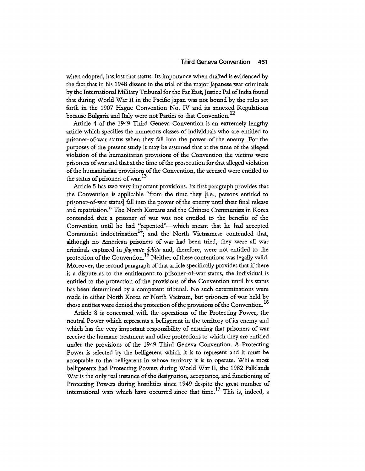when adopted, has lost that status. Its importance when drafted is evidenced by the fact that in his 1948 dissent in the trial of the major Japanese war criminals by the International Military Tribunal for the Far East, Justice Pal of India found that during World War II in the Pacific Japan was not bound by the rules set forth in the 1907 Hague Convention No. IV and its annexed Regulations because Bulgaria and Italy were not Parties to that Convention.<sup>12</sup>

Article 4 of the 1949 Third Geneva Convention is an extremely lengthy article which specifies the numerous classes of individuals who are entided to prisoner-of-war status when they fall into the power of the enemy. For the purposes of the present study it may be assumed that at the time of the alleged violation of the humanitarian provisions of the Convention the victims were prisoners of war and that at the time of the prosecution for that alleged violation of the humanitarian provisions of the Convention, the accused were entided to the status of prisoners of war.<sup>13</sup>

Article 5 has two very important provisions. Its first paragraph provides that the Convention is applicable "from the time they [i.e., persons entided to prisoner-of-war status] fall into the power of the enemy until their final release and repatriation." The North Koreans and the Chinese Communists in Korea contended that a prisoner of war was not entided to the benefits of the Convention until he had "repented"-which meant that he had accepted Communist indoctrination<sup>14</sup>; and the North Vietnamese contended that, although no American prisoners of war had been tried, they were all war criminals captured in *flagrante delido* and, therefore, were not entided to the protection of the Convention.<sup>15</sup> Neither of these contentions was legally valid. Moreover, the second paragraph of that article specifically provides that if there is a dispute as to the entidement to prisoner-of-war status, the individual is entided to the protection of the provisions of the Convention until his status has been determined by a competent tribunal. No such determinations were made in either North Korea or North Vietnam, but prisoners of war held by those entities were denied the protection of the provisions of the Convention.<sup>16</sup>

Article 8 is concerned with the operations of the Protecting Power, the neutral Power which represents a belligerent in the territory of its enemy and which has the very important responsibility of ensuring that prisoners of war receive the humane treatment and other protections to which they are entided under the provisions of the 1949 Third Geneva Convention. A Protecting Power is selected by the belligerent which it is to represent and it must be acceptable to the belligerent in whose territory it is to operate. While most belligerents had Protecting Powers during World War II, the 1982 Falklands War is the only real instance of the designation, acceptance, and functioning of Protecting Powers during hostilities since 1949 despite the great number of international wars which have occurred since that time.<sup>17</sup> This is, indeed, a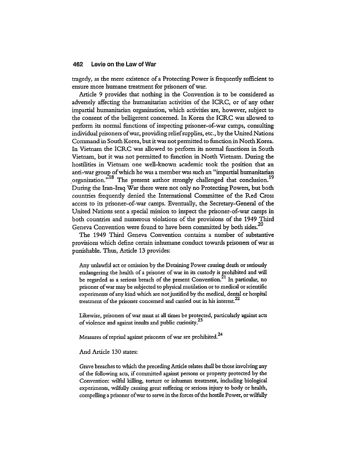tragedy, as the mere existence of a Protecting Power is frequently sufficient to ensure more humane treatment for prisoners of war.

Article 9 provides that nothing in the Convention is to be considered as adversely affecting the humanitarian activities of the ICRC, or of any other impartial humanitarian organization, which activities are, however, subject to the consent of the belligerent concerned. In Korea the ICRC was allowed to perform its normal functions of inspecting prisoner-of-war camps, consulting individual prisoners of war, providing relief supplies, etc., by the United Nations Command in South Korea, but it was not permitted to function in North Korea. In Vietnam the ICRC was allowed to perform its normal functions in South Vietnam, but it was not permitted to function in North Vietnam. During the hostilities in Vietnam one well-known academic took the position that an anti-war group of which he was a member was such an "impartial humanitarian organization."<sup>18</sup> The present author strongly challenged that conclusion.<sup>19</sup> During the Iran-Iraq War there were not only no Protecting Powers, but both countries frequently denied the International Committee of the Red Cross access to its prisoner-of-war camps. Eventually, the Secretary-General of the United Nations sent a special mission to inspect the prisoner-of-war camps in both countries and numerous violations of the provisions of the 1949 Third Geneva Convention were found to have been committed by both sides.<sup>20</sup>

The 1949 Third Geneva Convention contains a number of substantive provisions which define certain inhumane conduct towards prisoners of war as punishable. Thus, Article 13 provides:

Any unlawful act or omission by the Detaining Power causing death or seriously endangering the health of a prisoner of war in its custody is rrohibited and will be regarded as a serious breach of the present Convention.<sup>21</sup> In particular, no prisoner of war may be subjected to physical mutilation or to medical or scientific experiments of any kind which are not justified by the medical, dental or hospital treatment of the prisoner concerned and carried out in his interest.<sup>22</sup>

Likewise, prisoners of war must at all times be protected, particularly against acts of violence and against insults and public curiosity.<sup>23</sup>

Measures of reprisal against prisoners of war are prohibited.<sup>24</sup>

And Article 130 states:

Grave breaches to which the preceding Article relates shall be those involving any of the following acts, if committed against persons or property protected by the Convention: wilful killing, torture or inhuman treatment, including biological experiments, wilfully causing great suffering or serious injury to body or health, compelling a prisoner of war to serve in the forces of the hostile Power, or wilfully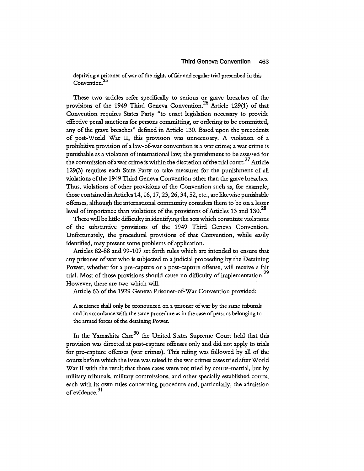depriving a prisoner of war of the rights of fair and regular trial prescribed in this Convention.<sup>25</sup>

These two articles refer specifically to serious or grave breaches of the provisions of the 1949 Third Geneva Convention.<sup>26</sup> Article 129(1) of that Convention requires States Party "to enact legislation necessary to provide effective penal sanctions for persons committing, or ordering to be committed, any of the grave breaches" defined in Article 130. Based upon the precedents of post-World War II, this provision was unnecessary. A violation of a prohibitive provision of a law-of-war convention is a war crime; a war crime is punishable as a violation of international law; the punishment to be assessed for the commission of a war crime is within the discretion of the trial court.<sup>27</sup> Article 129(3) requires each State Party to take measures for the punishment of all violations of the 1949 Third Geneva Convention other than the grave breaches. Thus, violations of other provisions of the Convention such as, for example, those contained in Articles 14, 16, 17,23,26,34,52, etc., are likewise punishable offenses, although the international community considers them to be on a lesser level of importance than violations of the provisions of Articles 13 and 130.<sup>28</sup>

There will be little difficulty in identifying the acts which constitute violations of the substantive provisions of the 1949 Third Geneva Convention. Unfortunately, the procedural provisions of that Convention, while easily identified, may present some problems of application.

Articles 82-88 and 99-107 set forth rules which are intended to ensure that any prisoner of war who is subjected to a judicial proceeding by the Detaining Power, whether for a pre-capture or a post-capture offense, will receive a fair trial. Most of those provisions should cause no difficulty of implementation.<sup>29</sup> However, there are two which will.

Article 63 of the 1929 Geneva Prisoner-of-War Convention provided:

A sentence shall only be pronounced on a prisoner of war by the same tribunals and in accordance with the same procedure as in the case of persons belonging to the armed forces of the detaining Power.

In the Yamashita Case<sup>30</sup> the United States Supreme Court held that this provision was directed at post-capture offenses only and did not apply to trials for pre-capture offenses (war crimes). This ruling was followed by all of the courts before which the issue was raised in the war crimes cases tried after World War II with the result that those cases were not tried by courts-martial, but by military tribunals, military commissions, and other specially established courts, each with its own rules concerning procedure and, particularly, the admission of evidence. $31$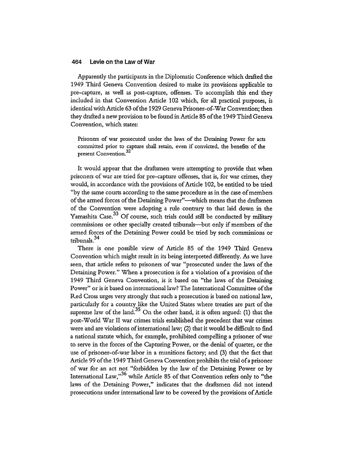Apparendy the participants in the Diplomatic Conference which drafted the 1949 Third Geneva Convention desired to make its provisions applicable to pre-capture, as well as post-capture, offenses. To accomplish this end they included in that Convention Article 102 which, for all practical purposes, is identical with Article 63 of the 1929 Geneva Prisoner-of-War Convention; then they drafted a new provision to be found in Article 85 of the 1949 Third Geneva Convention, which states:

Prisoners of war prosecuted under the laws of the Detaining Power for acts committed prior to capture shall retain, even if convicted, the benefits of the present Convention.<sup>32</sup>

It would appear that the draftsmen were attempting to provide that when prisoners of war are tried for pre-capture offenses, that is, for war crimes, they would, in accordance with the provisions of Article 102, be entided to be tried "by the same courts according to the same procedure as in the case of members of the armed forces of the Detaining Power"-which means that the draftsmen of the Convention were adopting a rule contrary to that laid down in the Yamashita Case.<sup>33</sup> Of course, such trials could still be conducted by military commissions or other specially created tribunals-but only if members of the armed forces of the Detaining Power could be tried by such commissions or tribunals.<sup>34</sup>

There is one possible view of Article 85 of the 1949 Third Geneva Convention which might result in its being interpreted differendy. As we have seen, that article refers to prisoners of war "prosecuted under the laws of the Detaining Power." When a prosecution is for a violation of a provision of the 1949 Third Geneva Convention, is it based on "the laws of the Detaining Power" or is it based on international law? The International Committee of the Red Cross urges very strongly that such a prosecution is based on national law, particularly for a country like the United States where treaties are part of the supreme law of the land.<sup>35</sup> On the other hand, it is often argued:  $(1)$  that the post-World War II war crimes trials established the precedent that war crimes were and are violations of international law; (2) that it would be difficult to find a national statute which, for example, prohibited compelling a prisoner of war to serve in the forces of the Capturing Power, or the denial of quarter, or the use of prisoner-of-war labor in a munitions factory; and (3) that the fact that Article 99 of the 1949 Third Geneva Convention prohibits the trial of a prisoner of war for an act not "forbidden by the law of the Detaining Power or by International Law, $"^{36}$  while Article 85 of that Convention refers only to "the laws of the Detaining Power," indicates that the draftsmen did not intend prosecutions under international law to be covered by the provisions of Article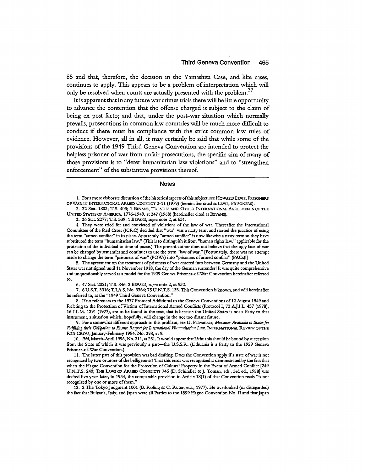85 and that, therefore, the decision in the Yamashita Case, and like cases, continues to apply. This appears to be a problem of interpretation which will only be resolved when courts are actually presented with the problem.<sup>37</sup>

**It** is apparent that in any future war crimes trials there will be little opportunity to advance the contention that the offense charged is subject to the claim of being ex post facto; and that, under the post-war situation which normally prevails, prosecutions in common law countries will be much more difficult to conduct if there must be compliance with the strict common law rules of evidence. However, all in all, it may certainly be said that while some of the provisions of the 1949 Third Geneva Convention are intended to protect the helpless prisoner of war from unfair prosecutions, the specific aim of many of those provisions is to "deter humanitarian law violations" and to "strengthen enforcement" of the substantive provisions thereo£

#### **Notes**

1. For a more elaborate discussion of the historical aspects of this subject, see HOWARD LEVIE, PRISONERS OF WAR IN INTERNATIONAL ARMED CONFLICT 2-11 (1979) (hereinafter cited as LEVIE, PRISONERS).

2. 32 Stat. 1803; T.S. 403; 1 BEVANS, TREATIES AND OTHER INTERNATIONAL AGREEMENTS OF THE UNITED STATES OF AMERICA, 1776-1949, at 247 (1968) (hereinafter cited as BEVANS).

3. 36 Stat. 2277; T.S. 539; 1 BEVANS, *supra* note 2, at 631.

4. They were tried for and convicted of violations of the law of war. Thereafter the International Committee of the Red Cross (ICRC) decided that "war" was a nasty term and started the practice of using the term "armed conflict" in its place. Apparendy "armed conflict" is now likewise a nasty term so they have substituted the term "humanitarian law." (This is to distinguish it from "human rights law," applicable for the protection of the individual in time of peace.) The present author does not believe that the ugly face of war can be changed by semantics and continues to use the term "law of war." [Fortunately, there was no attempt made to change the term "prisoners of war" (POWs) into "prisoners of armed conflict" (PACs)!]

5. The agreement on the treatment of prisoners of war entered into between Germany and the United States was not signed until 11 November 1918, the day of the German surrender! It was quite comprehensive and unquestionably served as a model for the 1929 Geneva Prisoner-of-War Convention hereinafter referred to.

6. 47 Stat. 2021; T.S. 846, 2 BEVANS, *supra* note 2, at 932.

7. 6 U.S.T. 3316; T.I.A.S. No. 3364; 75 U.N.T.S. 135. This Convention is known, and will hereinafter be referred to, as the "1949 Third Geneva Convention."

8. If no references to the 1977 Protocol Additional to the Geneva Conventions of 12 August 1949 and Relating to the Protection of Victims of International Armed Conflicts (Protocol I, 72 A.J.I.L. 457 (1978), 16 LL.M. 1391 (1977), are to be found in the text, that is because the United States is not a Party to that instrument. a situation which, hopefully, will change in the not too distant future.

9. For a somewhat different approach to this problem, see U. Palwankar, *Measures Available to Statesfor*  Fulfilling their Obligation to Ensure Respect for International Humanitarian Law, INTERNATIONAL REVIEW OF THE RED CROSS, January-February 1994, No. 298, at 9.

10. Ibid, March-April 1996, No. 311, at 251. It would appear that Lithuania should be bound by succession from the State of which it was previously a part-the U.S.S.R. (Lithuania is a Party to the 1929 Geneva Prisoner-of-War Convention.)

11. The latter part of this provision was bad drafting. Does the Convention apply if a state of war is not recognized by two or more of the belligerents? That this error was recognized is demonstrated by the fact that when the Hague Convention for the Protection of Cultural Property in the Event of Armed Conflict [249 U.N.T.S. 240; THE LAws OF ARMED CONFLICTS 745 (D. Schindler & j. Toman, eds., 3rd ed., 1988] was drafted five years later, in 1954, the comparable provision in Article 18(1) of that Convention reads "is not recognized by one or more of them."

12. 2 The Tokyo judgment 1001 (B. Roling & C. Ruter, eds., 1977). He overlooked (or disregarded) the fact that Bulgaria, Italy, and japan were all Parties to the 1899 Hague Convention No. II and that japan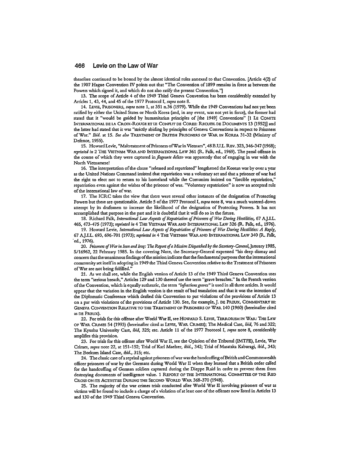therefore continued to be bound by the almost identical rules annexed to that Convention. [Article 4(2) of the 1907 Hague Convention IV points out that "The Convention of 1899 remains in force as between the Powers which signed it, and which do not also ratify the present Convention."]

13. The scope of Article 4 of the 1949 Third Geneva Convention has been considerably extended by Articles 1, 43, 44, and 45 of the 1977 Protocol I, *supra* note 8.

14. LEVIE, PRISONERS, *supra* note 1, at 351 n.36 (1979). While the 1949 Conventions had not yet been ratified by either the United States or North Korea (and, in any event, was not yet in force), the former had stated that it "would be guided by humanitarian principles of [the 1949] Conventions" [1 LE COMITE INTERNATIONAL DE LA CROIX-ROUGEETLE CONFLITDE COREE: RECUEILDE DOCUMENTS 13 (1952)] and the latter had stated that it was "stricdy abiding by principles of Geneva Conventions in respect to Prisoners of War." *Ibid.* at 15. *See also* TREATMENT OF BRITISH PRISONERS OF WAR IN KOREA 31-32 (Ministry of Defence, 1955).

15. HowardLevie, "Maltreatment of Prisoners ofWarin Vietnam", 48 B.U.L. REv. 323, 346-347 (1968); *reprinted in* 2 THE VIETNAM WAR AND INTERNATIONAL LAW 361 (R. Falk, ed., 1969). The penal offense in the course of which they were captured *inflagrante delicto* was apparendy that of engaging in war with the North Vietnamese!

16. The interpretation of the clause "released and repatriated" lengthened the Korean war by over a year as the United Nations Command insisted that repatriation was a voluntary act and that a prisoner of war had the right to elect not to return to his homeland while the Comunists insisted on "forcible repatriation," repatriation even against the wishes of the prisoner of war. "Voluntary repatriation" is now an accepted rule of the international law of war.

17. The ICRC takes the view that there were several other instances of the designation of Protecting Powers but these are questionable. Article 5 of the 1977 Protocol I, *supra* note 8, was a much watered-down attempt by its draftsmen to increase the likelihood of the designation of Protecting Powers. It has not accomplished that purpose in the past and it is doubtful that it will do so in the future.

18. Richard Falk, *International Law Aspects of Repatriation of Prisoners of War During Hostilities,* 67 AJ.I.L. 465,473-475 (1973); *reprinted in* 4 THE VIETNAM WAR AND INTERNATIONAL LAw 326 (R. Falk, ed., 1976).

19. Howard Levie, *International Law Aspects of Repatriation of Prisoners of War During Hostilities: A Reply*, 67 AJ.I.L. 693, 696-701 (1973); *reprillted in* 4 THE VIETNAM WAR AND INTERNATIONAL LAw 340 (R. Falk, "ed.,1976).

*20. Prisoners ofWarin Iran and Iraq:* The *Report ofa Mission Dispatched by the Secretary-General,January 1985,*  S/16962, 22 February 1985. In the covering Note, the Secretary-General expressed "his deep dismay and concern that the unanimous findings of the mission indicate that the fundamental purposes that the international community set itselfin adopting in 1949 the Third Geneva Convention relative to the Treatment of Prisoners of War are not being fulfilled."

21. As we shall see, while the English version of Article 13 of the 1949 Third Geneva Convention uses the term "serious breach," Articles 129 and 130 thereof use the term "grave breaches." In the French version of the Convention, which is equally authentic, the term "infractions graves" is used in all three articles. It would appear that the variation in the English version is the result of bad translation and that it was the intention of the Diplomatic Conference which drafted this Convention to put violations of the provisions of Article 13 on a par with violations of the provisions of Article 130. See, for example,J. DE PREUX, COMMENTARY III: GENEVA CONVENTION RELATIVE TO THE TREATMENT OF PRISONERS OF WAR 140 (1960) (hereinafter cited as DE PREUX).

22. For trials for this offense after World War II, see HOWARD S. LEVIE, TERRORISM IN WAR: THE LAw OF WAR CRIMES 54 (1993) (hereinafter cited as LEVIE, WAR CRIMES); The Medical Case, *ibid,* 76 and 322; The Kyushu University Case, *ibid,* 325; etc. Article 11 of the 1977 Protocol I, *supra* note 8, considerably amplifies this provision.

23. For trials for this offense after World War II, see the Opinion of the Tribunal (IMTFE), Levie, War Crimes, *supra* note 22, at 151-152; Trial of Karl Maelzer, *ibid.,* 342; Trial of Masataka Kaburagi, *ibid., 343;*  The Borkum Island Case, *ibid.,* 315; etc.

24. The classic case of a reprisal against prisoners of war was the handcuffing ofBritish and Commonwealth officer prisoners of war by the Germans during World War II when they learned that a British order called for the handcuffing of German soldiers captured during the Dieppe Raid in order to prevent them from destroying documents of intelligence value. 1 REpORT OF THE INTERNATIONAL COMMITTEE OF THE RED CROSS ON ITS ACTIVITIES DURING THE SECOND WORLD WAR 368-370 (1948).

25. The majority of the war crimes trials conducted after World War II involving prisoners of war as victims will be found to include a charge of a violation of at least one of the offenses now listed in Articles 13 and 130 of the 1949 Third Geneva Convention.